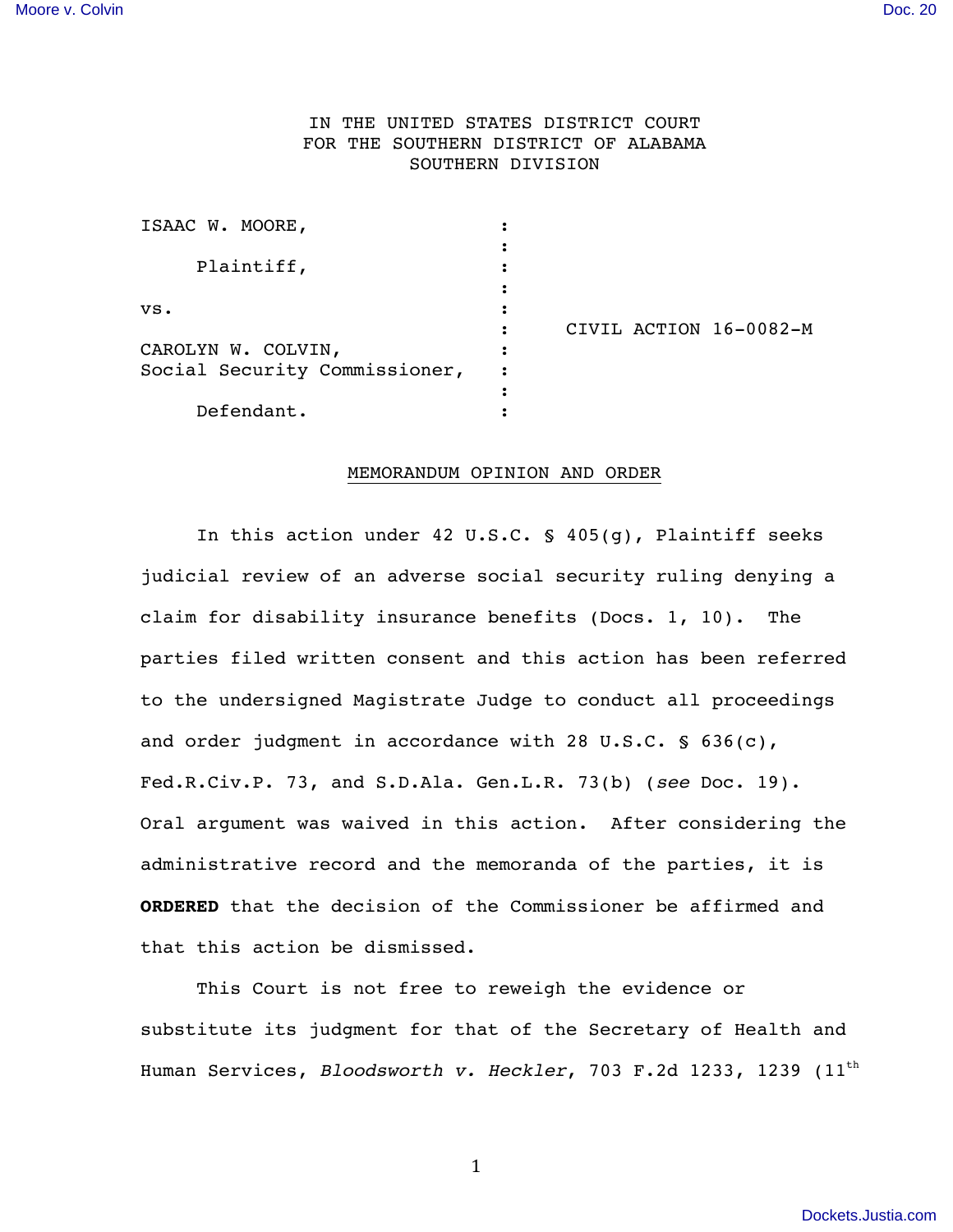# IN THE UNITED STATES DISTRICT COURT FOR THE SOUTHERN DISTRICT OF ALABAMA SOUTHERN DIVISION

|  | CIVIL ACTION 16-0082-M |
|--|------------------------|

#### MEMORANDUM OPINION AND ORDER

In this action under 42 U.S.C. § 405(g), Plaintiff seeks judicial review of an adverse social security ruling denying a claim for disability insurance benefits (Docs. 1, 10). The parties filed written consent and this action has been referred to the undersigned Magistrate Judge to conduct all proceedings and order judgment in accordance with 28 U.S.C. § 636(c), Fed.R.Civ.P. 73, and S.D.Ala. Gen.L.R. 73(b) (*see* Doc. 19). Oral argument was waived in this action. After considering the administrative record and the memoranda of the parties, it is **ORDERED** that the decision of the Commissioner be affirmed and that this action be dismissed.

This Court is not free to reweigh the evidence or substitute its judgment for that of the Secretary of Health and Human Services, *Bloodsworth v. Heckler*, 703 F.2d 1233, 1239 (11th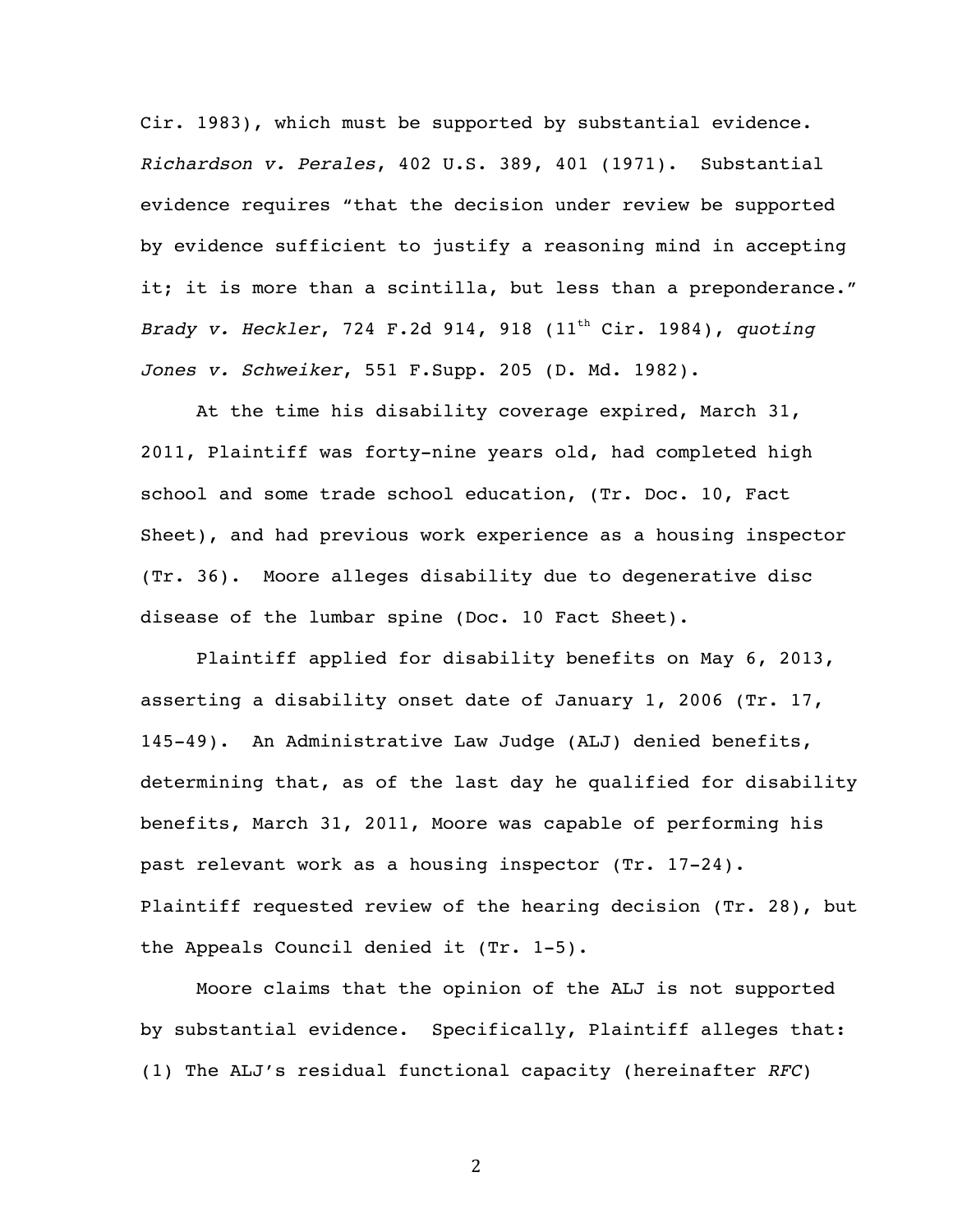Cir. 1983), which must be supported by substantial evidence. *Richardson v. Perales*, 402 U.S. 389, 401 (1971). Substantial evidence requires "that the decision under review be supported by evidence sufficient to justify a reasoning mind in accepting it; it is more than a scintilla, but less than a preponderance." *Brady v. Heckler, 724 F.2d 914, 918 (11<sup>th</sup> Cir. 1984), quoting Jones v. Schweiker*, 551 F.Supp. 205 (D. Md. 1982).

At the time his disability coverage expired, March 31, 2011, Plaintiff was forty-nine years old, had completed high school and some trade school education, (Tr. Doc. 10, Fact Sheet), and had previous work experience as a housing inspector (Tr. 36). Moore alleges disability due to degenerative disc disease of the lumbar spine (Doc. 10 Fact Sheet).

Plaintiff applied for disability benefits on May 6, 2013, asserting a disability onset date of January 1, 2006 (Tr. 17, 145-49). An Administrative Law Judge (ALJ) denied benefits, determining that, as of the last day he qualified for disability benefits, March 31, 2011, Moore was capable of performing his past relevant work as a housing inspector (Tr. 17-24). Plaintiff requested review of the hearing decision (Tr. 28), but the Appeals Council denied it (Tr. 1-5).

Moore claims that the opinion of the ALJ is not supported by substantial evidence. Specifically, Plaintiff alleges that: (1) The ALJ's residual functional capacity (hereinafter *RFC*)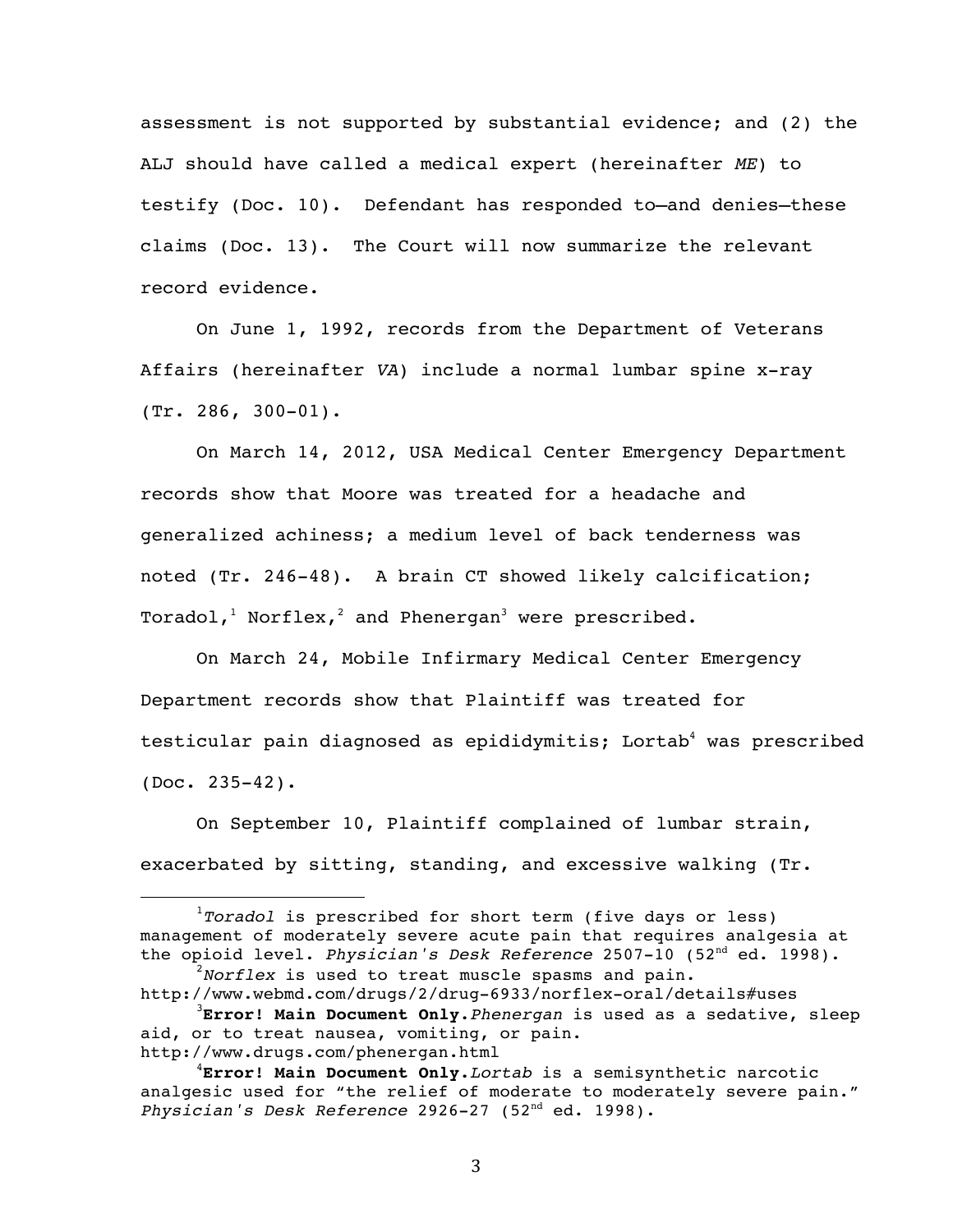assessment is not supported by substantial evidence; and (2) the ALJ should have called a medical expert (hereinafter *ME*) to testify (Doc. 10). Defendant has responded to—and denies—these claims (Doc. 13). The Court will now summarize the relevant record evidence.

On June 1, 1992, records from the Department of Veterans Affairs (hereinafter *VA*) include a normal lumbar spine x-ray (Tr. 286, 300-01).

On March 14, 2012, USA Medical Center Emergency Department records show that Moore was treated for a headache and generalized achiness; a medium level of back tenderness was noted (Tr. 246-48). A brain CT showed likely calcification; Toradol,<sup>1</sup> Norflex,<sup>2</sup> and Phenergan<sup>3</sup> were prescribed.

On March 24, Mobile Infirmary Medical Center Emergency Department records show that Plaintiff was treated for testicular pain diagnosed as epididymitis; Lortab<sup>4</sup> was prescribed (Doc. 235-42).

On September 10, Plaintiff complained of lumbar strain, exacerbated by sitting, standing, and excessive walking (Tr.

 

<sup>1</sup> *Toradol* is prescribed for short term (five days or less) management of moderately severe acute pain that requires analgesia at the opioid level. *Physician's Desk Reference* 2507-10 (52<sup>nd</sup> ed. 1998).

*Norflex* is used to treat muscle spasms and pain. http://www.webmd.com/drugs/2/drug-6933/norflex-oral/details#uses

<sup>3</sup> **Error! Main Document Only.***Phenergan* is used as a sedative, sleep aid, or to treat nausea, vomiting, or pain. http://www.drugs.com/phenergan.html

<sup>4</sup> **Error! Main Document Only.***Lortab* is a semisynthetic narcotic analgesic used for "the relief of moderate to moderately severe pain." *Physician's Desk Reference* 2926-27 (52nd ed. 1998).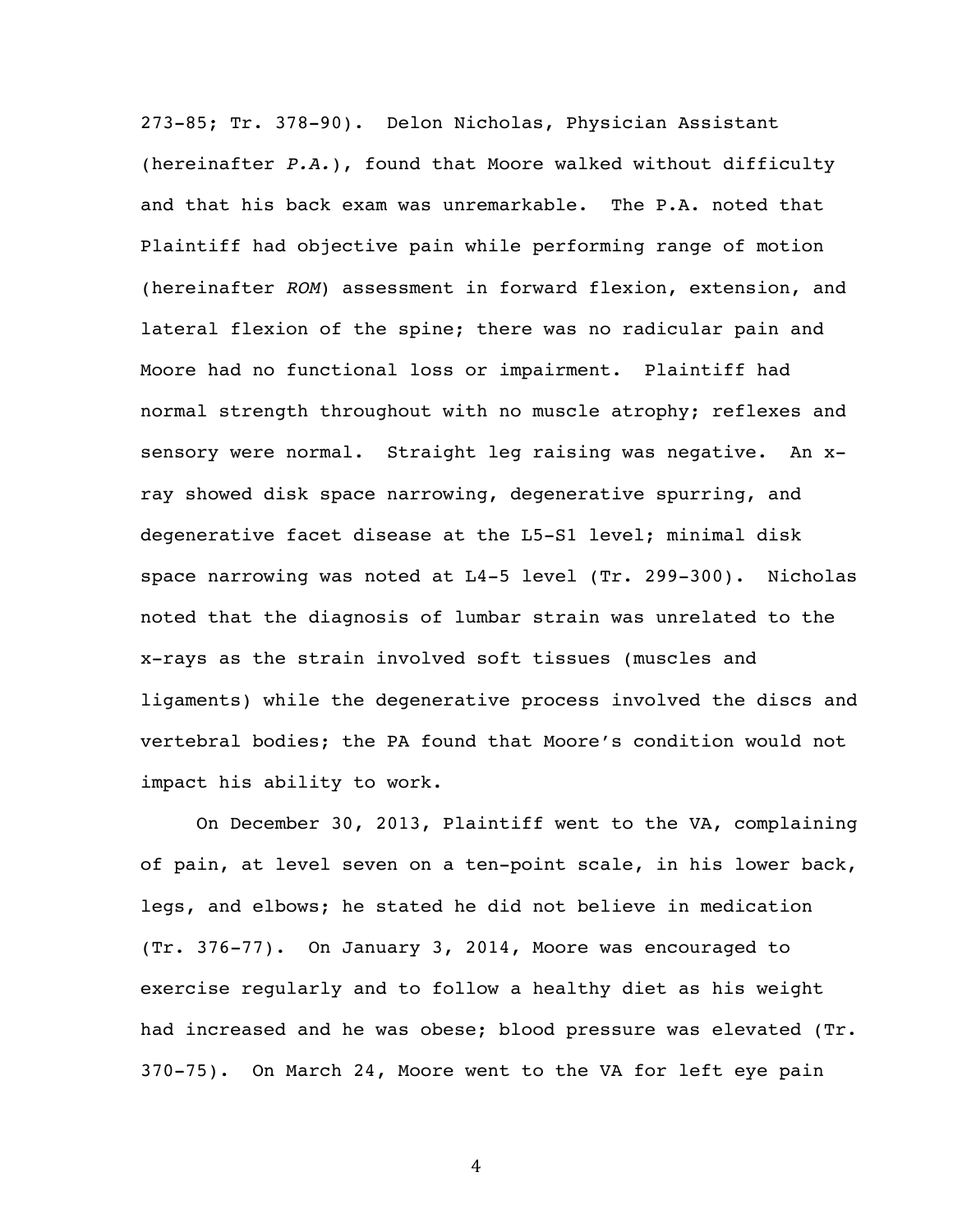273-85; Tr. 378-90). Delon Nicholas, Physician Assistant (hereinafter *P.A.*), found that Moore walked without difficulty and that his back exam was unremarkable. The P.A. noted that Plaintiff had objective pain while performing range of motion (hereinafter *ROM*) assessment in forward flexion, extension, and lateral flexion of the spine; there was no radicular pain and Moore had no functional loss or impairment. Plaintiff had normal strength throughout with no muscle atrophy; reflexes and sensory were normal. Straight leg raising was negative. An xray showed disk space narrowing, degenerative spurring, and degenerative facet disease at the L5-S1 level; minimal disk space narrowing was noted at L4-5 level (Tr. 299-300). Nicholas noted that the diagnosis of lumbar strain was unrelated to the x-rays as the strain involved soft tissues (muscles and ligaments) while the degenerative process involved the discs and vertebral bodies; the PA found that Moore's condition would not impact his ability to work.

On December 30, 2013, Plaintiff went to the VA, complaining of pain, at level seven on a ten-point scale, in his lower back, legs, and elbows; he stated he did not believe in medication (Tr. 376-77). On January 3, 2014, Moore was encouraged to exercise regularly and to follow a healthy diet as his weight had increased and he was obese; blood pressure was elevated (Tr. 370-75). On March 24, Moore went to the VA for left eye pain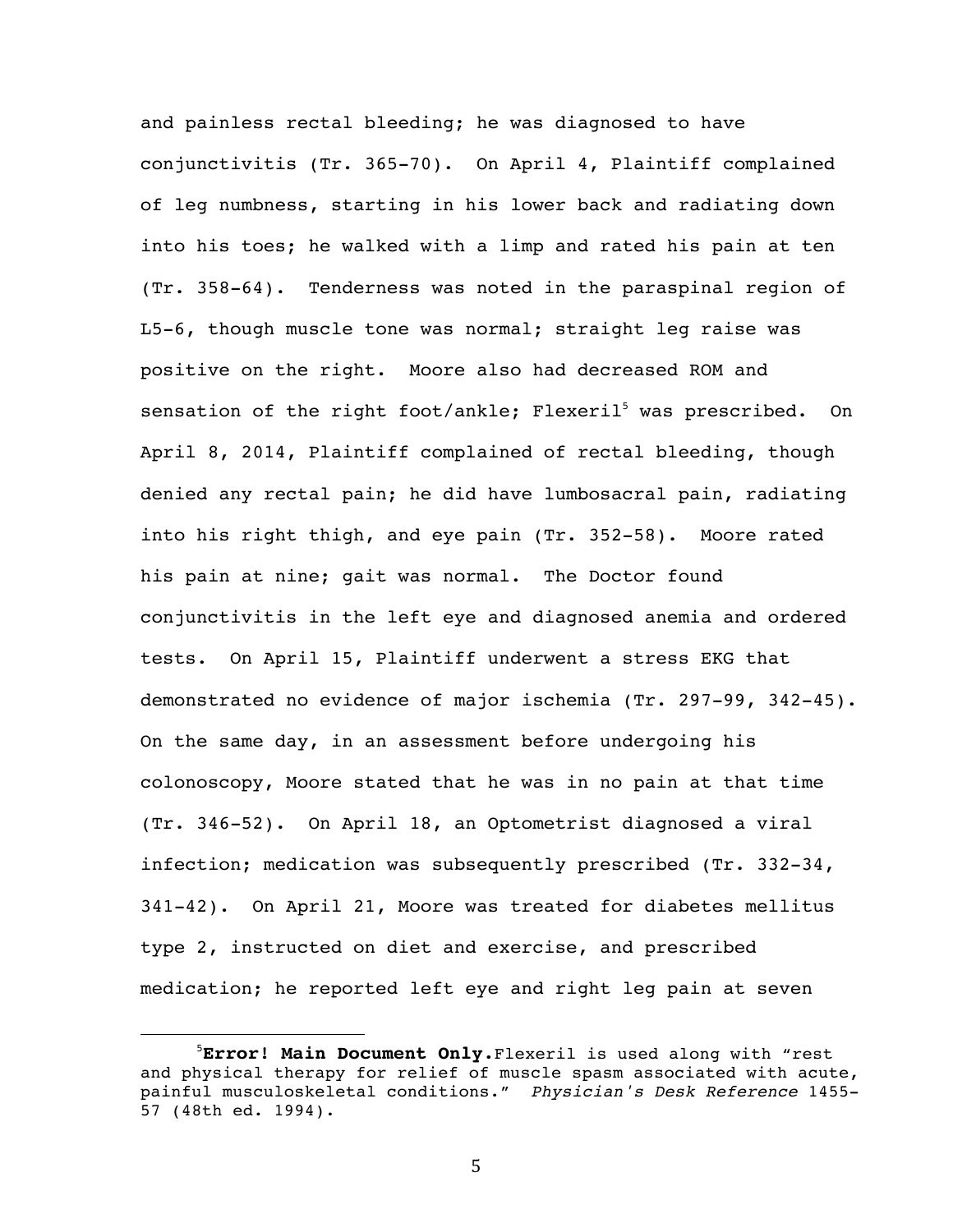and painless rectal bleeding; he was diagnosed to have conjunctivitis (Tr. 365-70). On April 4, Plaintiff complained of leg numbness, starting in his lower back and radiating down into his toes; he walked with a limp and rated his pain at ten (Tr. 358-64). Tenderness was noted in the paraspinal region of L5-6, though muscle tone was normal; straight leg raise was positive on the right. Moore also had decreased ROM and sensation of the right foot/ankle; Flexeril<sup>5</sup> was prescribed. On April 8, 2014, Plaintiff complained of rectal bleeding, though denied any rectal pain; he did have lumbosacral pain, radiating into his right thigh, and eye pain (Tr. 352-58). Moore rated his pain at nine; gait was normal. The Doctor found conjunctivitis in the left eye and diagnosed anemia and ordered tests. On April 15, Plaintiff underwent a stress EKG that demonstrated no evidence of major ischemia (Tr. 297-99, 342-45). On the same day, in an assessment before undergoing his colonoscopy, Moore stated that he was in no pain at that time (Tr. 346-52). On April 18, an Optometrist diagnosed a viral infection; medication was subsequently prescribed (Tr. 332-34, 341-42). On April 21, Moore was treated for diabetes mellitus type 2, instructed on diet and exercise, and prescribed medication; he reported left eye and right leg pain at seven

5

<sup>5</sup> **Error! Main Document Only.**Flexeril is used along with "rest and physical therapy for relief of muscle spasm associated with acute, painful musculoskeletal conditions." *Physician's Desk Reference* 1455- 57 (48th ed. 1994).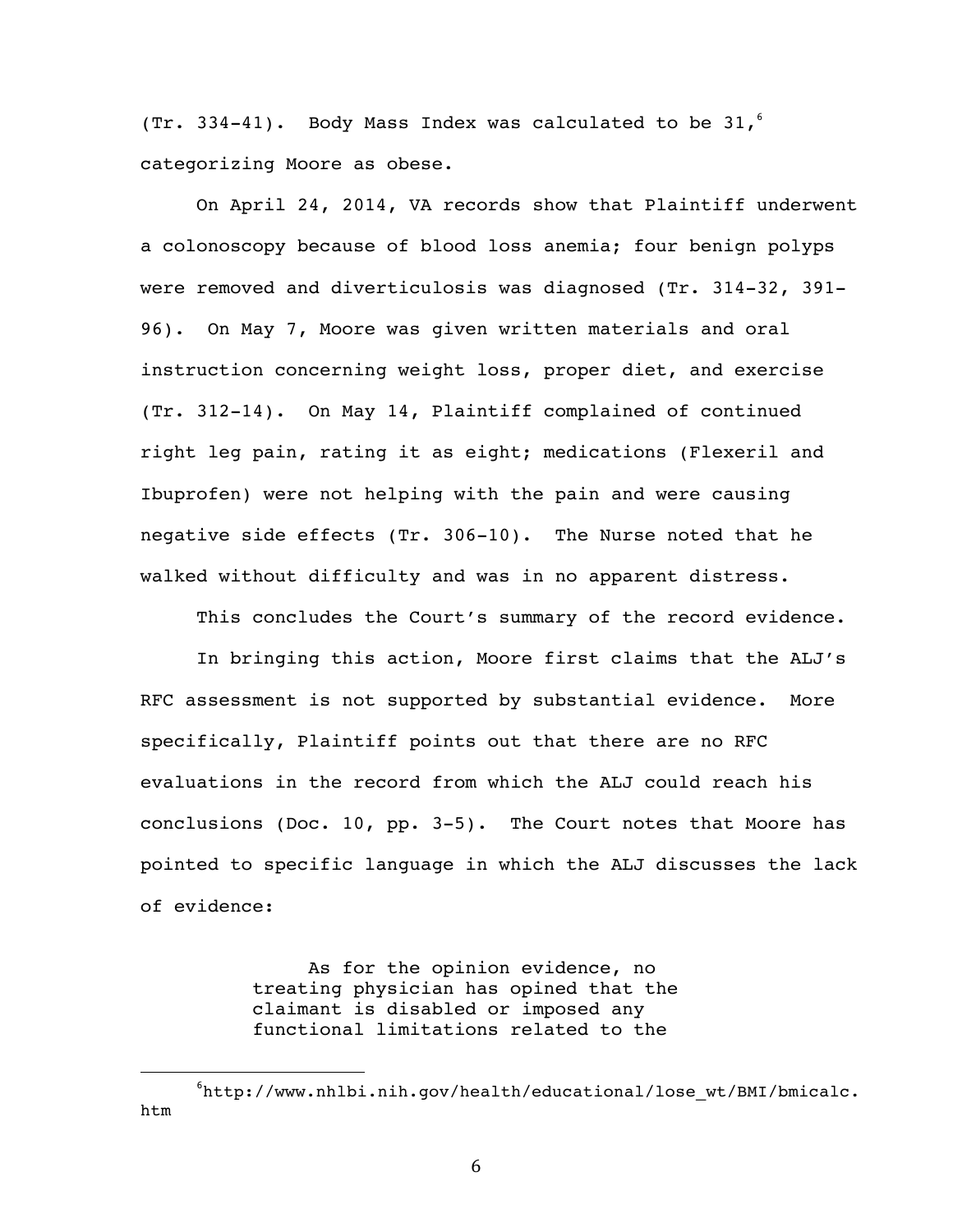(Tr. 334-41). Body Mass Index was calculated to be  $31,^6$ categorizing Moore as obese.

On April 24, 2014, VA records show that Plaintiff underwent a colonoscopy because of blood loss anemia; four benign polyps were removed and diverticulosis was diagnosed (Tr. 314-32, 391- 96). On May 7, Moore was given written materials and oral instruction concerning weight loss, proper diet, and exercise (Tr. 312-14). On May 14, Plaintiff complained of continued right leg pain, rating it as eight; medications (Flexeril and Ibuprofen) were not helping with the pain and were causing negative side effects (Tr. 306-10). The Nurse noted that he walked without difficulty and was in no apparent distress.

This concludes the Court's summary of the record evidence.

In bringing this action, Moore first claims that the ALJ's RFC assessment is not supported by substantial evidence. More specifically, Plaintiff points out that there are no RFC evaluations in the record from which the ALJ could reach his conclusions (Doc. 10, pp. 3-5). The Court notes that Moore has pointed to specific language in which the ALJ discusses the lack of evidence:

> As for the opinion evidence, no treating physician has opined that the claimant is disabled or imposed any functional limitations related to the

 

<sup>6</sup> http://www.nhlbi.nih.gov/health/educational/lose\_wt/BMI/bmicalc. htm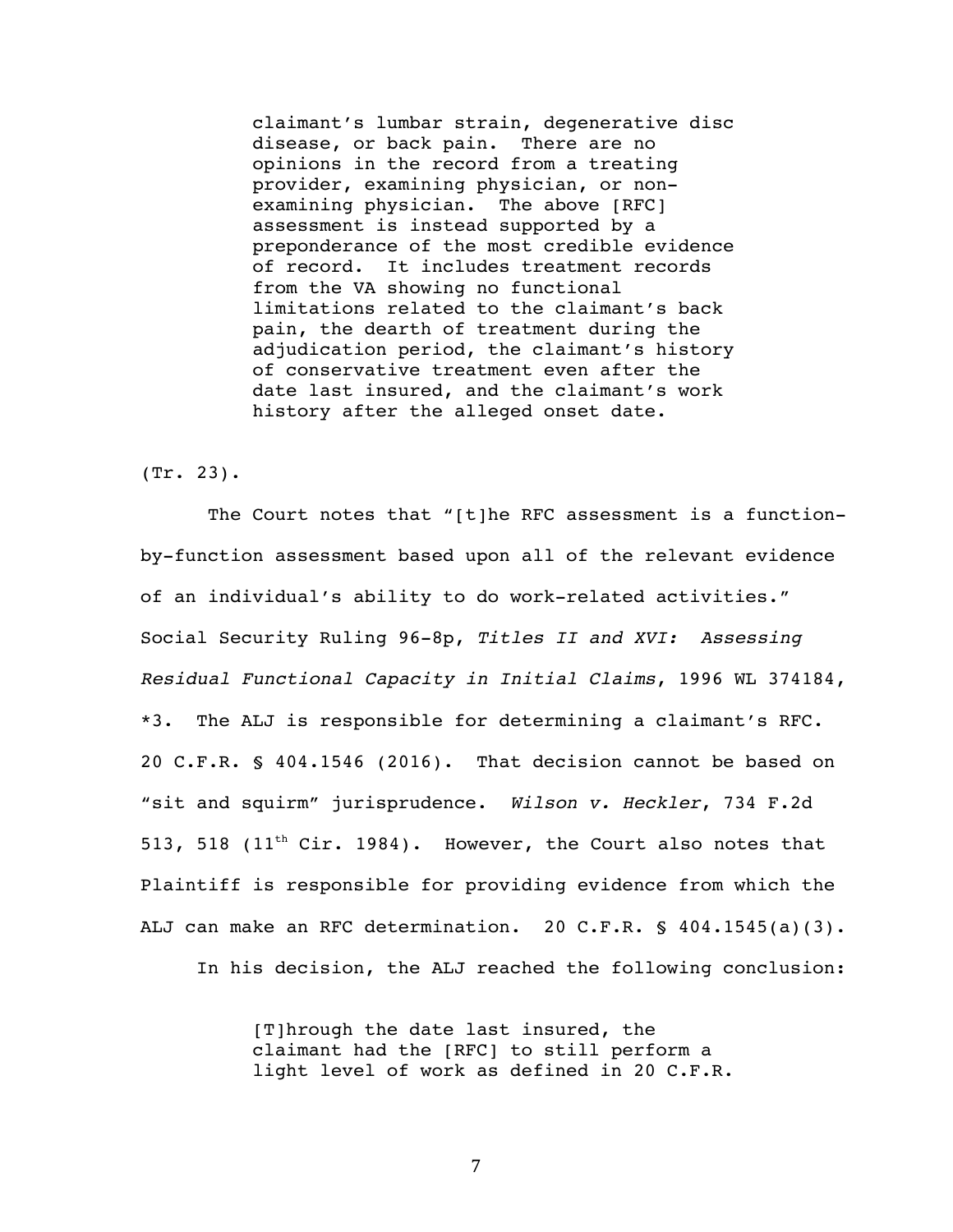claimant's lumbar strain, degenerative disc disease, or back pain. There are no opinions in the record from a treating provider, examining physician, or nonexamining physician. The above [RFC] assessment is instead supported by a preponderance of the most credible evidence of record. It includes treatment records from the VA showing no functional limitations related to the claimant's back pain, the dearth of treatment during the adjudication period, the claimant's history of conservative treatment even after the date last insured, and the claimant's work history after the alleged onset date.

### (Tr. 23).

The Court notes that "[t]he RFC assessment is a functionby-function assessment based upon all of the relevant evidence of an individual's ability to do work-related activities." Social Security Ruling 96-8p, *Titles II and XVI: Assessing Residual Functional Capacity in Initial Claims*, 1996 WL 374184, \*3. The ALJ is responsible for determining a claimant's RFC. 20 C.F.R. § 404.1546 (2016). That decision cannot be based on "sit and squirm" jurisprudence. *Wilson v. Heckler*, 734 F.2d 513, 518 (11<sup>th</sup> Cir. 1984). However, the Court also notes that Plaintiff is responsible for providing evidence from which the ALJ can make an RFC determination. 20 C.F.R. § 404.1545(a)(3).

In his decision, the ALJ reached the following conclusion:

[T]hrough the date last insured, the claimant had the [RFC] to still perform a light level of work as defined in 20 C.F.R.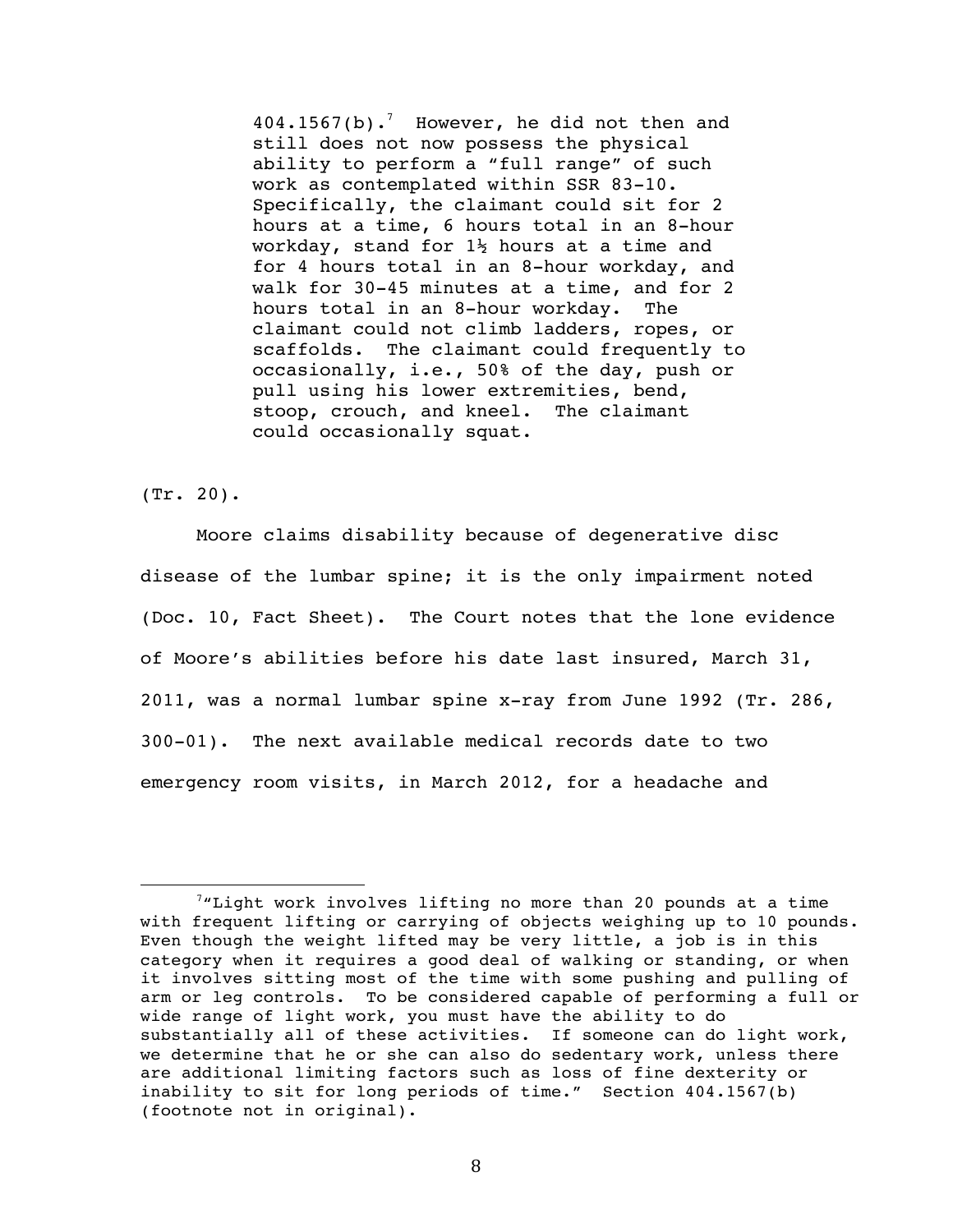$404.1567(b)$ .<sup>7</sup> However, he did not then and still does not now possess the physical ability to perform a "full range" of such work as contemplated within SSR 83-10. Specifically, the claimant could sit for 2 hours at a time, 6 hours total in an 8-hour workday, stand for  $1\frac{1}{2}$  hours at a time and for 4 hours total in an 8-hour workday, and walk for 30-45 minutes at a time, and for 2 hours total in an 8-hour workday. The claimant could not climb ladders, ropes, or scaffolds. The claimant could frequently to occasionally, i.e., 50% of the day, push or pull using his lower extremities, bend, stoop, crouch, and kneel. The claimant could occasionally squat.

(Tr. 20).

 

Moore claims disability because of degenerative disc disease of the lumbar spine; it is the only impairment noted (Doc. 10, Fact Sheet). The Court notes that the lone evidence of Moore's abilities before his date last insured, March 31, 2011, was a normal lumbar spine x-ray from June 1992 (Tr. 286, 300-01). The next available medical records date to two emergency room visits, in March 2012, for a headache and

 $7$ "Light work involves lifting no more than 20 pounds at a time with frequent lifting or carrying of objects weighing up to 10 pounds. Even though the weight lifted may be very little, a job is in this category when it requires a good deal of walking or standing, or when it involves sitting most of the time with some pushing and pulling of arm or leg controls. To be considered capable of performing a full or wide range of light work, you must have the ability to do substantially all of these activities. If someone can do light work, we determine that he or she can also do sedentary work, unless there are additional limiting factors such as loss of fine dexterity or inability to sit for long periods of time." Section 404.1567(b) (footnote not in original).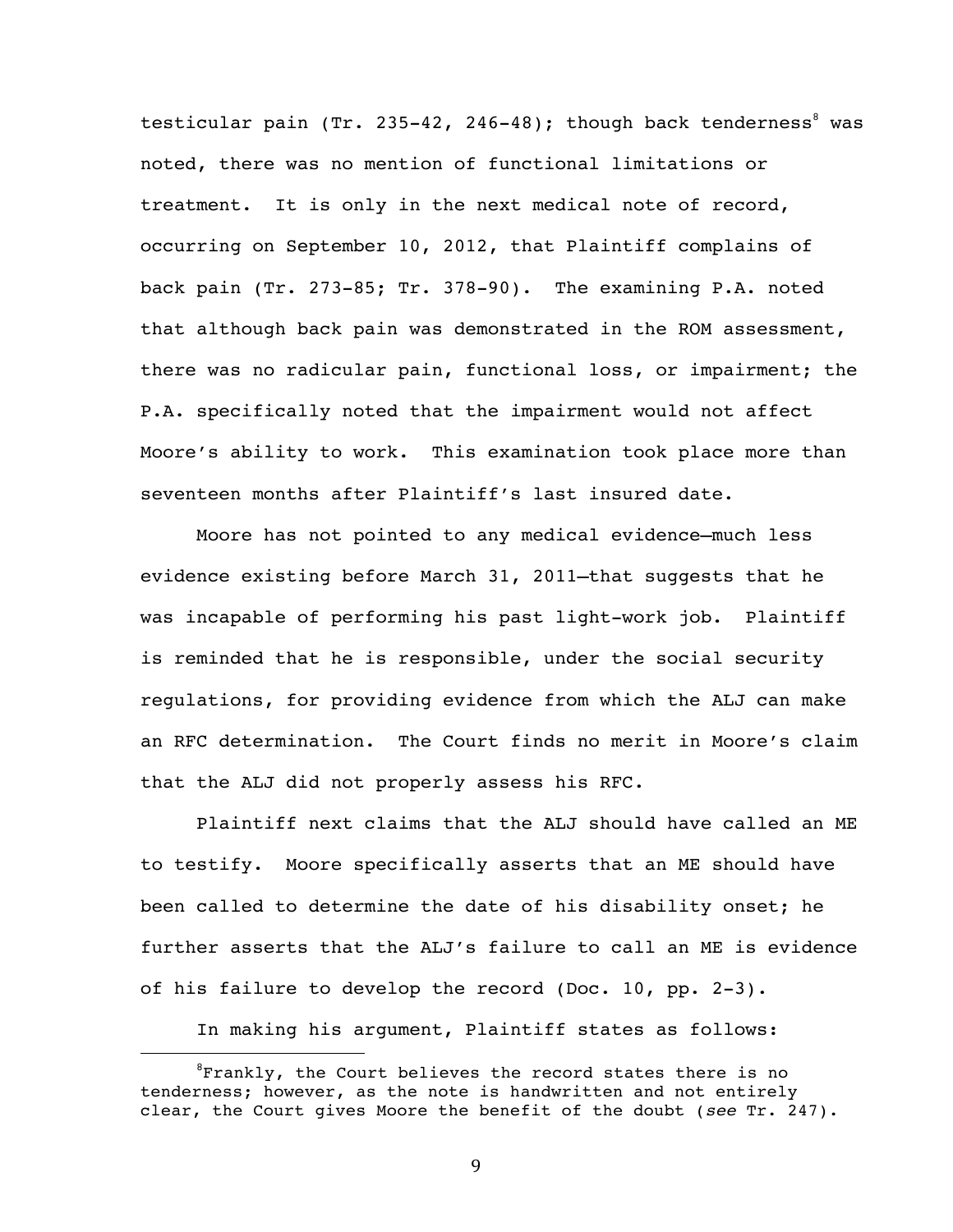testicular pain (Tr. 235-42, 246-48); though back tenderness<sup>8</sup> was noted, there was no mention of functional limitations or treatment. It is only in the next medical note of record, occurring on September 10, 2012, that Plaintiff complains of back pain (Tr. 273-85; Tr. 378-90). The examining P.A. noted that although back pain was demonstrated in the ROM assessment, there was no radicular pain, functional loss, or impairment; the P.A. specifically noted that the impairment would not affect Moore's ability to work. This examination took place more than seventeen months after Plaintiff's last insured date.

Moore has not pointed to any medical evidence—much less evidence existing before March 31, 2011—that suggests that he was incapable of performing his past light-work job. Plaintiff is reminded that he is responsible, under the social security regulations, for providing evidence from which the ALJ can make an RFC determination. The Court finds no merit in Moore's claim that the ALJ did not properly assess his RFC.

Plaintiff next claims that the ALJ should have called an ME to testify. Moore specifically asserts that an ME should have been called to determine the date of his disability onset; he further asserts that the ALJ's failure to call an ME is evidence of his failure to develop the record (Doc. 10, pp. 2-3).

In making his argument, Plaintiff states as follows:

 

<sup>&</sup>lt;sup>8</sup>Frankly, the Court believes the record states there is no tenderness; however, as the note is handwritten and not entirely clear, the Court gives Moore the benefit of the doubt (*see* Tr. 247).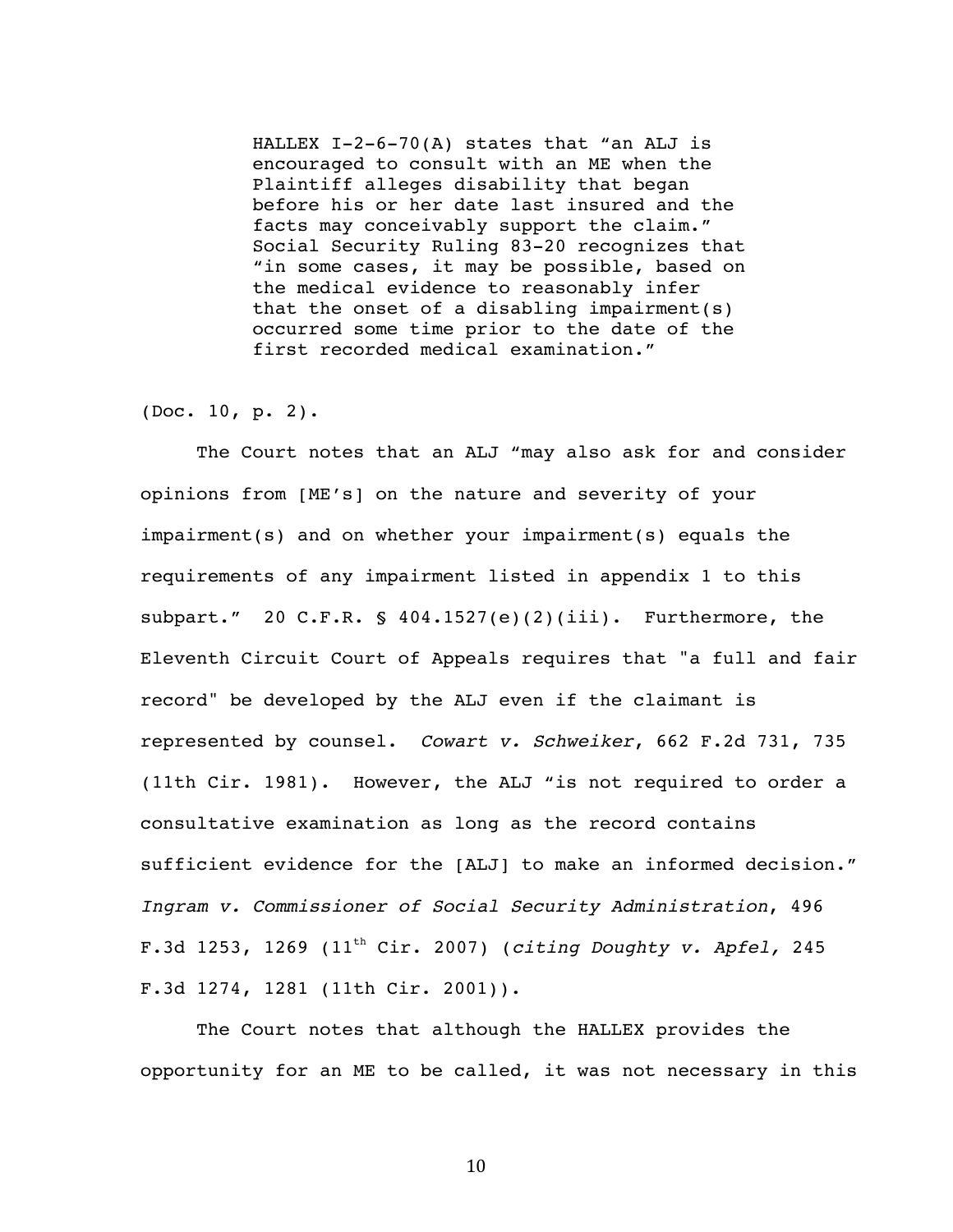HALLEX  $I-2-6-70(A)$  states that "an ALJ is encouraged to consult with an ME when the Plaintiff alleges disability that began before his or her date last insured and the facts may conceivably support the claim." Social Security Ruling 83-20 recognizes that "in some cases, it may be possible, based on the medical evidence to reasonably infer that the onset of a disabling impairment(s) occurred some time prior to the date of the first recorded medical examination."

## (Doc. 10, p. 2).

The Court notes that an ALJ "may also ask for and consider opinions from [ME's] on the nature and severity of your impairment(s) and on whether your impairment(s) equals the requirements of any impairment listed in appendix 1 to this subpart." 20 C.F.R. §  $404.1527(e)(2)(iii)$ . Furthermore, the Eleventh Circuit Court of Appeals requires that "a full and fair record" be developed by the ALJ even if the claimant is represented by counsel. *Cowart v. Schweiker*, 662 F.2d 731, 735 (11th Cir. 1981). However, the ALJ "is not required to order a consultative examination as long as the record contains sufficient evidence for the [ALJ] to make an informed decision." *Ingram v. Commissioner of Social Security Administration*, 496 F.3d 1253, 1269 (11th Cir. 2007) (*citing Doughty v. Apfel,* 245 F.3d 1274, 1281 (11th Cir. 2001)).

The Court notes that although the HALLEX provides the opportunity for an ME to be called, it was not necessary in this